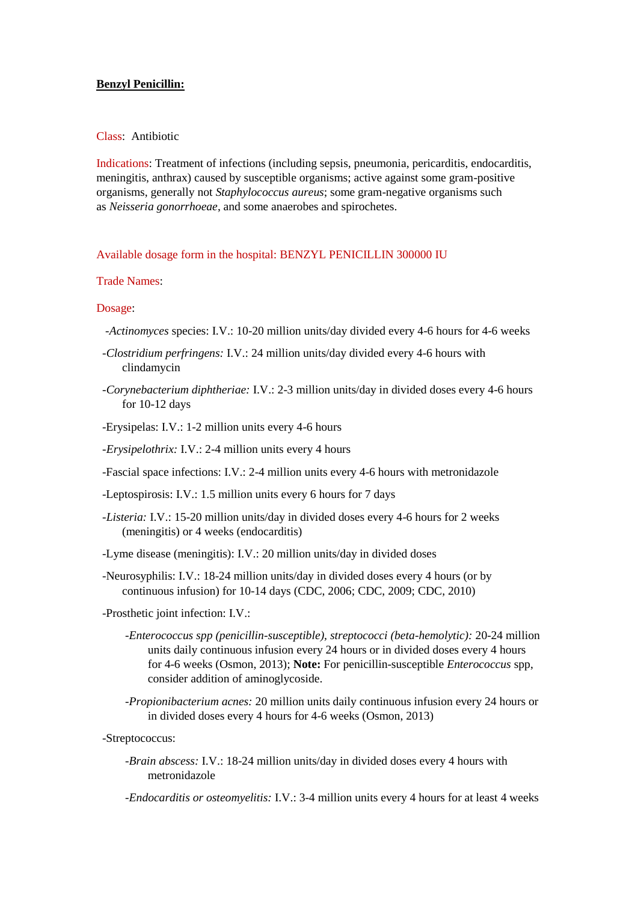# **Benzyl Penicillin:**

# Class: Antibiotic

Indications: Treatment of infections (including sepsis, pneumonia, pericarditis, endocarditis, meningitis, anthrax) caused by susceptible organisms; active against some gram-positive organisms, generally not *Staphylococcus aureus*; some gram-negative organisms such as *Neisseria gonorrhoeae*, and some anaerobes and spirochetes.

Available dosage form in the hospital: BENZYL PENICILLIN 300000 IU

## Trade Names:

#### Dosage:

- *-Actinomyces* species: I.V.: 10-20 million units/day divided every 4-6 hours for 4-6 weeks
- *-Clostridium perfringens:* I.V.: 24 million units/day divided every 4-6 hours with clindamycin
- *-Corynebacterium diphtheriae:* I.V.: 2-3 million units/day in divided doses every 4-6 hours for 10-12 days
- -Erysipelas: I.V.: 1-2 million units every 4-6 hours
- *-Erysipelothrix:* I.V.: 2-4 million units every 4 hours

-Fascial space infections: I.V.: 2-4 million units every 4-6 hours with metronidazole

- -Leptospirosis: I.V.: 1.5 million units every 6 hours for 7 days
- *-Listeria:* I.V.: 15-20 million units/day in divided doses every 4-6 hours for 2 weeks (meningitis) or 4 weeks (endocarditis)
- -Lyme disease (meningitis): I.V.: 20 million units/day in divided doses
- -Neurosyphilis: I.V.: 18-24 million units/day in divided doses every 4 hours (or by continuous infusion) for 10-14 days (CDC, 2006; CDC, 2009; CDC, 2010)
- -Prosthetic joint infection: I.V.:
	- *-Enterococcus spp (penicillin-susceptible), streptococci (beta-hemolytic):* 20-24 million units daily continuous infusion every 24 hours or in divided doses every 4 hours for 4-6 weeks (Osmon, 2013); **Note:** For penicillin-susceptible *Enterococcus* spp, consider addition of aminoglycoside.
	- *-Propionibacterium acnes:* 20 million units daily continuous infusion every 24 hours or in divided doses every 4 hours for 4-6 weeks (Osmon, 2013)

-Streptococcus:

*-Brain abscess:* I.V.: 18-24 million units/day in divided doses every 4 hours with metronidazole

*-Endocarditis or osteomyelitis:* I.V.: 3-4 million units every 4 hours for at least 4 weeks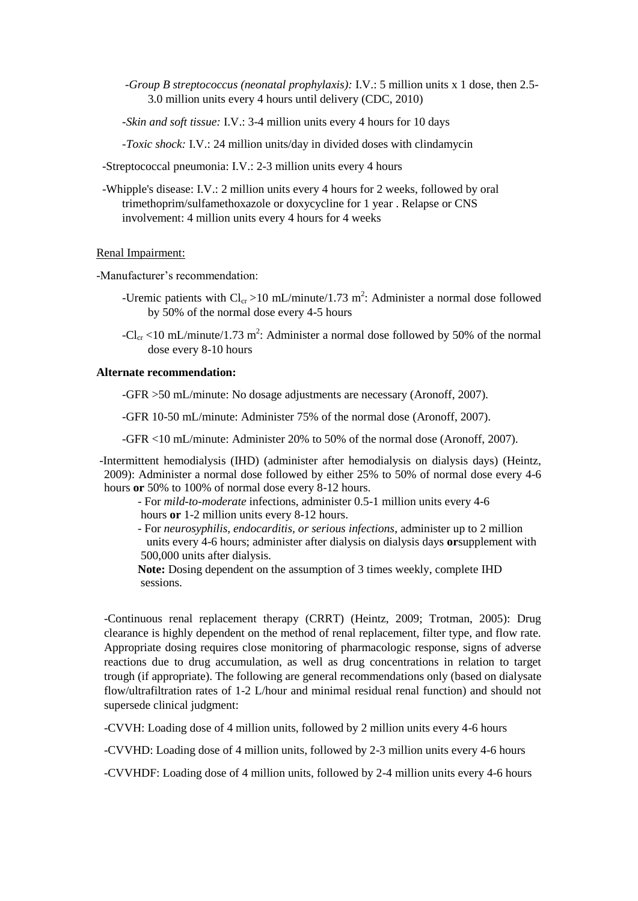- *-Group B streptococcus (neonatal prophylaxis):* I.V.: 5 million units x 1 dose, then 2.5- 3.0 million units every 4 hours until delivery (CDC, 2010)
- *-Skin and soft tissue:* I.V.: 3-4 million units every 4 hours for 10 days
- *-Toxic shock:* I.V.: 24 million units/day in divided doses with clindamycin

-Streptococcal pneumonia: I.V.: 2-3 million units every 4 hours

 -Whipple's disease: I.V.: 2 million units every 4 hours for 2 weeks, followed by oral trimethoprim/sulfamethoxazole or doxycycline for 1 year . Relapse or CNS involvement: 4 million units every 4 hours for 4 weeks

# Renal Impairment:

-Manufacturer's recommendation:

- -Uremic patients with  $Cl_{cr} > 10$  mL/minute/1.73 m<sup>2</sup>: Administer a normal dose followed by 50% of the normal dose every 4-5 hours
- -Cl<sub>cr</sub> <10 mL/minute/1.73 m<sup>2</sup>: Administer a normal dose followed by 50% of the normal dose every 8-10 hours

### **Alternate recommendation:**

-GFR >50 mL/minute: No dosage adjustments are necessary (Aronoff, 2007).

-GFR 10-50 mL/minute: Administer 75% of the normal dose (Aronoff, 2007).

-GFR <10 mL/minute: Administer 20% to 50% of the normal dose (Aronoff, 2007).

-Intermittent hemodialysis (IHD) (administer after hemodialysis on dialysis days) (Heintz, 2009): Administer a normal dose followed by either 25% to 50% of normal dose every 4-6 hours **or** 50% to 100% of normal dose every 8-12 hours.

 - For *mild-to-moderate* infections, administer 0.5-1 million units every 4-6 hours **or** 1-2 million units every 8-12 hours.

 - For *neurosyphilis, endocarditis, or serious infections*, administer up to 2 million units every 4-6 hours; administer after dialysis on dialysis days **or**supplement with 500,000 units after dialysis.

 **Note:** Dosing dependent on the assumption of 3 times weekly, complete IHD sessions.

-Continuous renal replacement therapy (CRRT) (Heintz, 2009; Trotman, 2005): Drug clearance is highly dependent on the method of renal replacement, filter type, and flow rate. Appropriate dosing requires close monitoring of pharmacologic response, signs of adverse reactions due to drug accumulation, as well as drug concentrations in relation to target trough (if appropriate). The following are general recommendations only (based on dialysate flow/ultrafiltration rates of 1-2 L/hour and minimal residual renal function) and should not supersede clinical judgment:

-CVVH: Loading dose of 4 million units, followed by 2 million units every 4-6 hours

-CVVHD: Loading dose of 4 million units, followed by 2-3 million units every 4-6 hours

-CVVHDF: Loading dose of 4 million units, followed by 2-4 million units every 4-6 hours